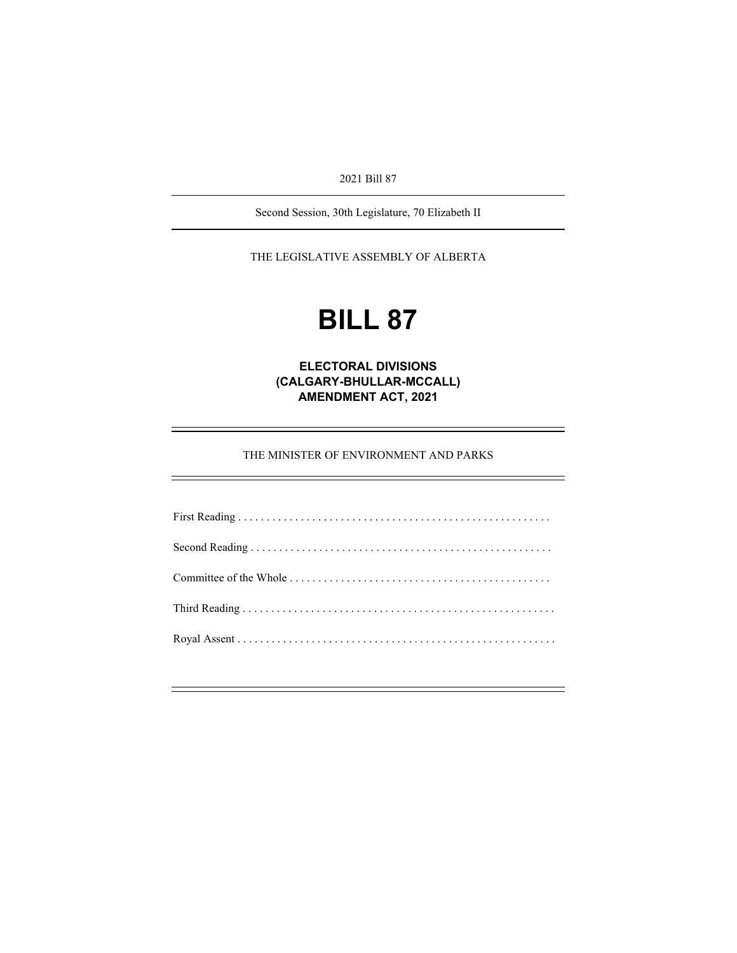2021 Bill 87

Second Session, 30th Legislature, 70 Elizabeth II

THE LEGISLATIVE ASSEMBLY OF ALBERTA

# **BILL 87**

**ELECTORAL DIVISIONS (CALGARY-BHULLAR-MCCALL) AMENDMENT ACT, 2021** 

THE MINISTER OF ENVIRONMENT AND PARKS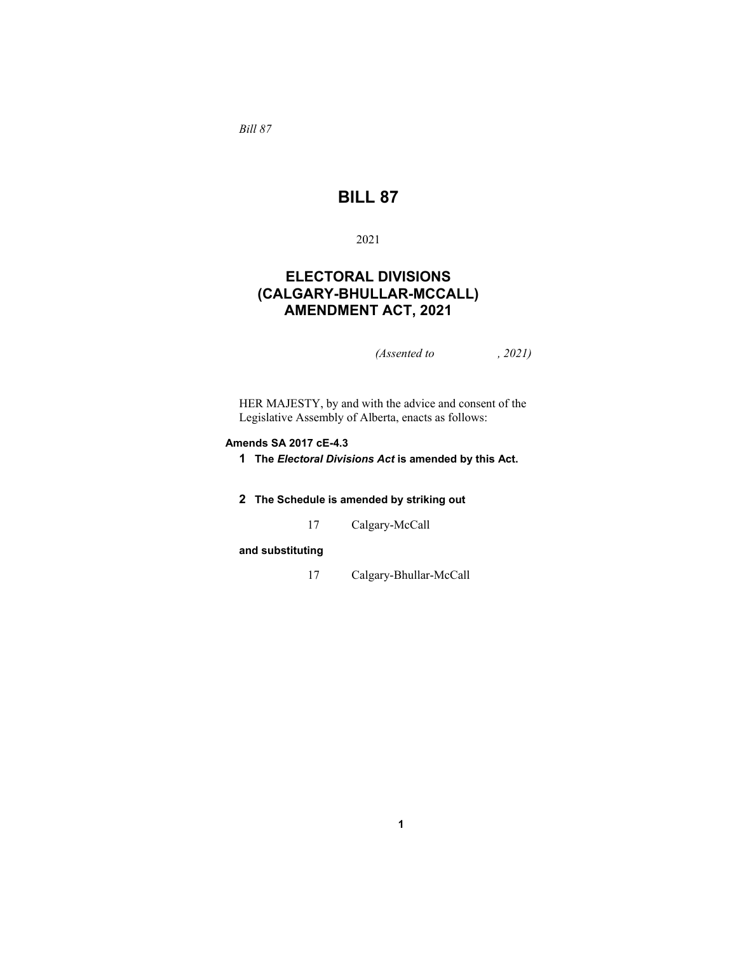*Bill 87* 

## **BILL 87**

#### 2021

## **ELECTORAL DIVISIONS (CALGARY-BHULLAR-MCCALL) AMENDMENT ACT, 2021**

*(Assented to , 2021)* 

HER MAJESTY, by and with the advice and consent of the Legislative Assembly of Alberta, enacts as follows:

#### **Amends SA 2017 cE-4.3**

- **1 The** *Electoral Divisions Act* **is amended by this Act.**
- **2 The Schedule is amended by striking out**
	- 17 Calgary-McCall

#### **and substituting**

17 Calgary-Bhullar-McCall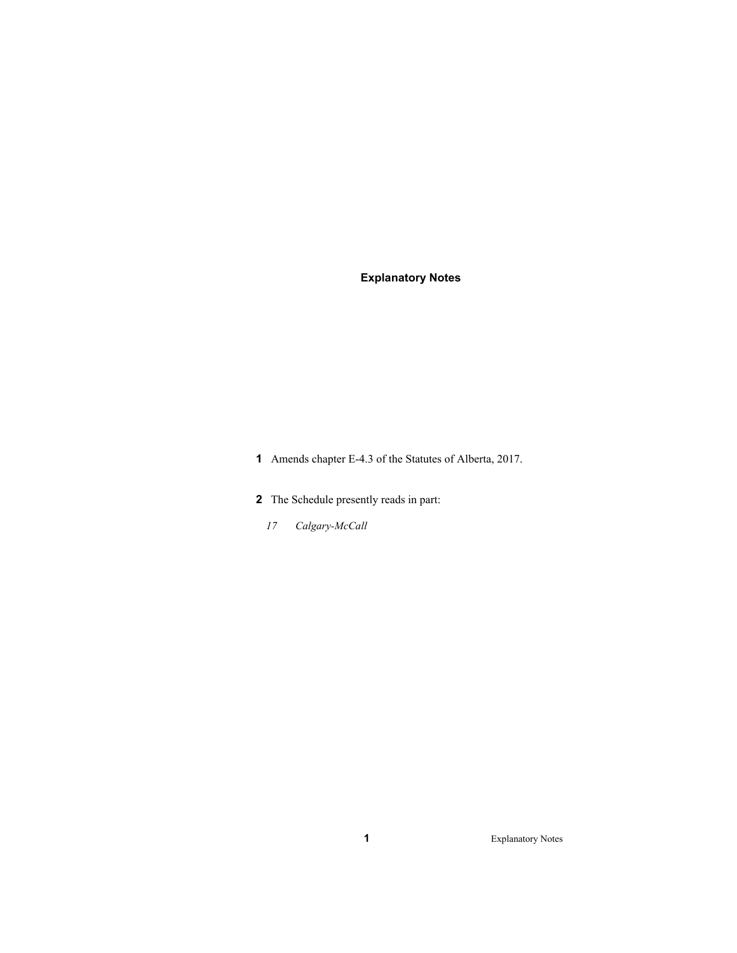### **Explanatory Notes**

- **1** Amends chapter E-4.3 of the Statutes of Alberta, 2017.
- **2** The Schedule presently reads in part:
	- *17 Calgary-McCall*